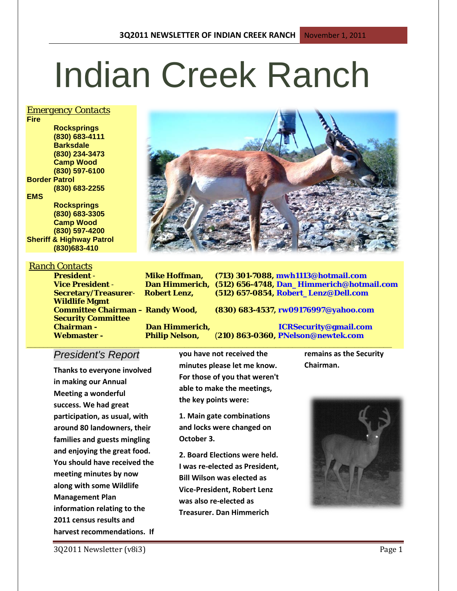# Indian Creek Ranch

#### *Emergency Contacts*

**Fire Rocksprings (830) 683-4111 Barksdale (830) 234-3473 Camp Wood (830) 597-6100 Border Patrol (830) 683-2255 EMS Rocksprings (830) 683-3305 Camp Wood**

**(830) 597-4200 Sheriff & Highway Patrol (830)683-410**

#### *Ranch Contacts*

**Wildlife Mgmt Security Committee** 

**Vice President** - **Dan Himmerich, (512) 656-4748, Dan\_Himmerich@hotmail.com Secretary/Treasurer**- **Robert Lenz, (512) 657-0854, Robert\_Lenz@Dell.com**

**Committee Chairman – Randy Wood, (830) 683-4537, rw09176997@yahoo.com**

**Chairman - Dan Himmerich, ICRSecurity@gmail.com Webmaster - Philip Nelson,** (**210) 863-0360, PNelson@newtek.com**

# *President's Report*

**Thanks to everyone involved in making our Annual Meeting a wonderful success. We had great participation, as usual, with around 80 landowners, their families and guests mingling and enjoying the great food. You should have received the meeting minutes by now along with some Wildlife Management Plan information relating to the 2011 census results and harvest recommendations. If**  **you have not received the minutes please let me know. For those of you that weren't able to make the meetings, the key points were:**

**1. Main gate combinations and locks were changed on October 3.** 

**2. Board Elections were held. I was re-elected as President, Bill Wilson was elected as Vice-President, Robert Lenz was also re-elected as Treasurer. Dan Himmerich** 

**\_\_\_\_\_\_\_\_\_\_\_\_\_\_\_\_\_\_\_\_\_\_\_\_\_\_\_\_\_\_\_\_\_\_\_\_\_\_\_\_\_\_\_\_\_\_\_\_\_\_\_\_\_\_\_\_\_\_\_\_\_\_\_\_\_\_\_\_\_\_\_\_\_\_\_\_\_\_\_\_\_\_\_\_\_\_\_\_ remains as the Security Chairman.**



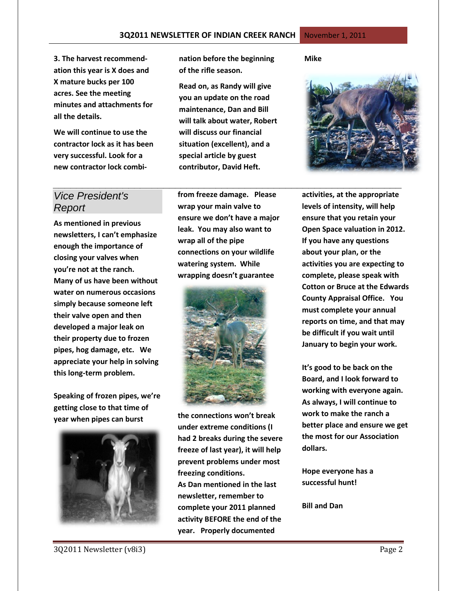**3. The harvest recommendation this year is X does and X mature bucks per 100 acres. See the meeting minutes and attachments for all the details.**

**We will continue to use the contractor lock as it has been very successful. Look for a new contractor lock combi-** **nation before the beginning of the rifle season.**

**Read on, as Randy will give you an update on the road maintenance, Dan and Bill will talk about water, Robert will discuss our financial situation (excellent), and a special article by guest contributor, David Heft.**

**Mike**



# *Vice President's Report*

**As mentioned in previous newsletters, I can't emphasize enough the importance of closing your valves when you're not at the ranch. Many of us have been without water on numerous occasions simply because someone left their valve open and then developed a major leak on their property due to frozen pipes, hog damage, etc. We appreciate your help in solving this long-term problem.**

**Speaking of frozen pipes, we're getting close to that time of year when pipes can burst** 



**from freeze damage. Please wrap your main valve to ensure we don't have a major leak. You may also want to wrap all of the pipe connections on your wildlife watering system. While wrapping doesn't guarantee**

*\_\_\_\_\_\_\_\_\_\_\_\_\_\_\_\_\_\_\_\_\_\_\_\_\_\_\_\_\_\_\_\_\_\_\_\_\_\_\_\_\_\_\_\_\_\_\_\_\_\_\_\_\_\_\_\_\_\_\_\_*



**the connections won't break under extreme conditions (I had 2 breaks during the severe freeze of last year), it will help prevent problems under most freezing conditions. As Dan mentioned in the last newsletter, remember to complete your 2011 planned activity BEFORE the end of the year. Properly documented** 

**activities, at the appropriate levels of intensity, will help ensure that you retain your Open Space valuation in 2012. If you have any questions about your plan, or the activities you are expecting to complete, please speak with Cotton or Bruce at the Edwards County Appraisal Office. You must complete your annual reports on time, and that may be difficult if you wait until January to begin your work.** 

**It's good to be back on the Board, and I look forward to working with everyone again. As always, I will continue to work to make the ranch a better place and ensure we get the most for our Association dollars.**

**Hope everyone has a successful hunt!** 

**Bill and Dan**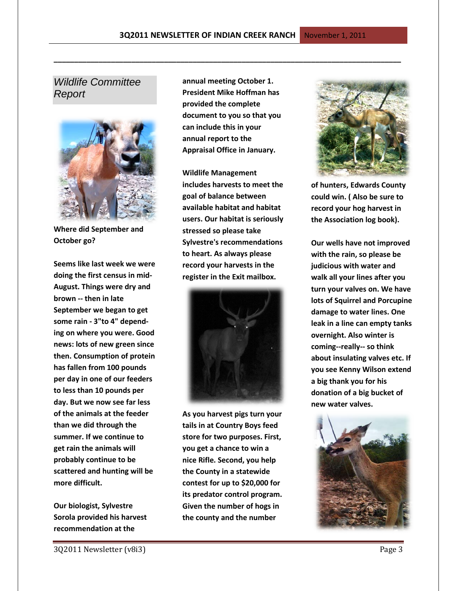## *Wildlife Committee Report*



**Where did September and October go?**

**Seems like last week we were doing the first census in mid-August. Things were dry and brown -- then in late September we began to get some rain - 3"to 4" depending on where you were. Good news: lots of new green since then. Consumption of protein has fallen from 100 pounds per day in one of our feeders to less than 10 pounds per day. But we now see far less of the animals at the feeder than we did through the summer. If we continue to get rain the animals will probably continue to be scattered and hunting will be more difficult.** 

**Our biologist, Sylvestre Sorola provided his harvest recommendation at the** 

**annual meeting October 1. President Mike Hoffman has provided the complete document to you so that you can include this in your annual report to the Appraisal Office in January.** 

**\_\_\_\_\_\_\_\_\_\_\_\_\_\_\_\_\_\_\_\_\_\_\_\_\_\_\_\_\_\_\_\_\_\_\_\_\_\_\_\_\_\_\_\_\_\_\_\_\_\_\_\_\_\_\_\_\_\_\_\_\_\_\_\_\_\_\_\_\_\_\_\_\_\_\_\_\_\_\_\_\_\_\_\_\_**

**Wildlife Management includes harvests to meet the goal of balance between available habitat and habitat users. Our habitat is seriously stressed so please take Sylvestre's recommendations to heart. As always please record your harvests in the register in the Exit mailbox.**



**As you harvest pigs turn your tails in at Country Boys feed store for two purposes. First, you get a chance to win a nice Rifle. Second, you help the County in a statewide contest for up to \$20,000 for its predator control program. Given the number of hogs in the county and the number** 



**of hunters, Edwards County could win. ( Also be sure to record your hog harvest in the Association log book).**

**Our wells have not improved with the rain, so please be judicious with water and walk all your lines after you turn your valves on. We have lots of Squirrel and Porcupine damage to water lines. One leak in a line can empty tanks overnight. Also winter is coming--really-- so think about insulating valves etc. If you see Kenny Wilson extend a big thank you for his donation of a big bucket of new water valves.** 

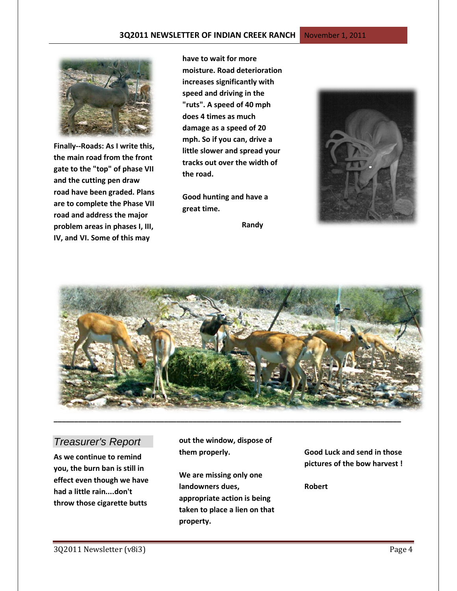

**Finally--Roads: As I write this, the main road from the front gate to the "top" of phase VII and the cutting pen draw road have been graded. Plans are to complete the Phase VII road and address the major problem areas in phases I, III, IV, and VI. Some of this may** 

**have to wait for more moisture. Road deterioration increases significantly with speed and driving in the "ruts". A speed of 40 mph does 4 times as much damage as a speed of 20 mph. So if you can, drive a little slower and spread your tracks out over the width of the road.** 

**Good hunting and have a great time.**

 **Randy**





## *Treasurer's Report*

**As we continue to remind you, the burn ban is still in effect even though we have had a little rain....don't throw those cigarette butts** 

**out the window, dispose of them properly.**

**We are missing only one landowners dues, appropriate action is being taken to place a lien on that property.**

**Good Luck and send in those pictures of the bow harvest !** 

**Robert**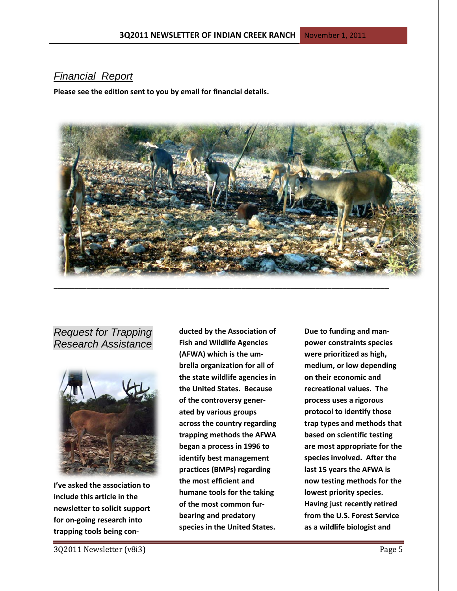# *Financial Report*

**Please see the edition sent to you by email for financial details.**



*Request for Trapping Research Assistance*



**I've asked the association to include this article in the newsletter to solicit support for on-going research into trapping tools being con-**

**ducted by the Association of Fish and Wildlife Agencies (AFWA) which is the umbrella organization for all of the state wildlife agencies in the United States. Because of the controversy generated by various groups across the country regarding trapping methods the AFWA began a process in 1996 to identify best management practices (BMPs) regarding the most efficient and humane tools for the taking of the most common furbearing and predatory species in the United States.** 

**Due to funding and manpower constraints species were prioritized as high, medium, or low depending on their economic and recreational values. The process uses a rigorous protocol to identify those trap types and methods that based on scientific testing are most appropriate for the species involved. After the last 15 years the AFWA is now testing methods for the lowest priority species. Having just recently retired from the U.S. Forest Service as a wildlife biologist and**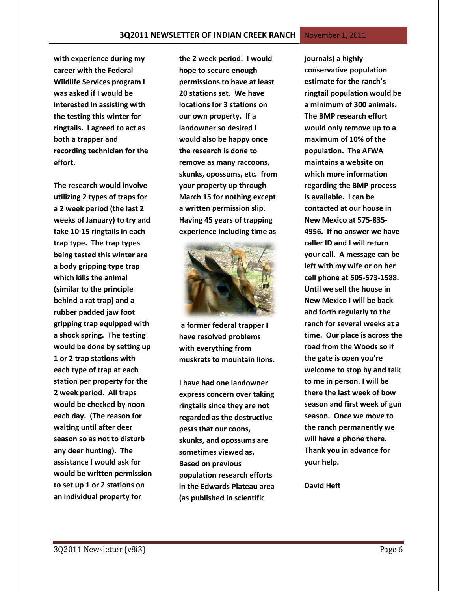**with experience during my career with the Federal Wildlife Services program I was asked if I would be interested in assisting with the testing this winter for ringtails. I agreed to act as both a trapper and recording technician for the effort.** 

**The research would involve utilizing 2 types of traps for a 2 week period (the last 2 weeks of January) to try and take 10-15 ringtails in each trap type. The trap types being tested this winter are a body gripping type trap which kills the animal (similar to the principle behind a rat trap) and a rubber padded jaw foot gripping trap equipped with a shock spring. The testing would be done by setting up 1 or 2 trap stations with each type of trap at each station per property for the 2 week period. All traps would be checked by noon each day. (The reason for waiting until after deer season so as not to disturb any deer hunting). The assistance I would ask for would be written permission to set up 1 or 2 stations on an individual property for** 

**the 2 week period. I would hope to secure enough permissions to have at least 20 stations set. We have locations for 3 stations on our own property. If a landowner so desired I would also be happy once the research is done to remove as many raccoons, skunks, opossums, etc. from your property up through March 15 for nothing except a written permission slip. Having 45 years of trapping experience including time as**



**a former federal trapper I have resolved problems with everything from muskrats to mountain lions.**

**I have had one landowner express concern over taking ringtails since they are not regarded as the destructive pests that our coons, skunks, and opossums are sometimes viewed as. Based on previous population research efforts in the Edwards Plateau area (as published in scientific** 

**journals) a highly conservative population estimate for the ranch's ringtail population would be a minimum of 300 animals. The BMP research effort would only remove up to a maximum of 10% of the population. The AFWA maintains a website on which more information regarding the BMP process is available. I can be contacted at our house in New Mexico at 575-835- 4956. If no answer we have caller ID and I will return your call. A message can be left with my wife or on her cell phone at 505-573-1588. Until we sell the house in New Mexico I will be back and forth regularly to the ranch for several weeks at a time. Our place is across the road from the Woods so if the gate is open you're welcome to stop by and talk to me in person. I will be there the last week of bow season and first week of gun season. Once we move to the ranch permanently we will have a phone there. Thank you in advance for your help.**

**David Heft**